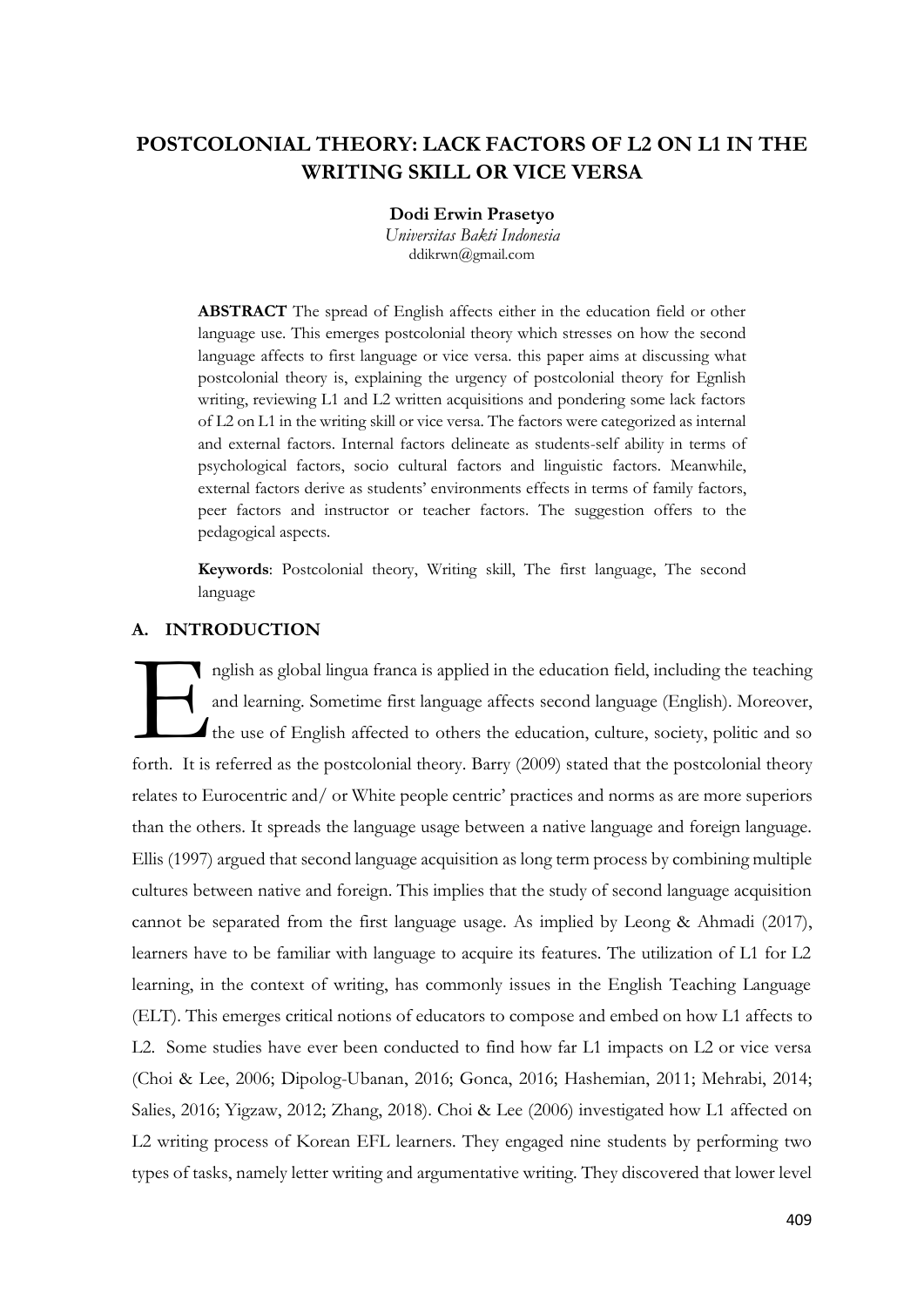# **POSTCOLONIAL THEORY: LACK FACTORS OF L2 ON L1 IN THE WRITING SKILL OR VICE VERSA**

**Dodi Erwin Prasetyo**

*Universitas Bakti Indonesia* [ddikrwn@gmail.com](mailto:ddikrwn@gmail.com)

**ABSTRACT** The spread of English affects either in the education field or other language use. This emerges postcolonial theory which stresses on how the second language affects to first language or vice versa. this paper aims at discussing what postcolonial theory is, explaining the urgency of postcolonial theory for Egnlish writing, reviewing L1 and L2 written acquisitions and pondering some lack factors of L2 on L1 in the writing skill or vice versa. The factors were categorized as internal and external factors. Internal factors delineate as students-self ability in terms of psychological factors, socio cultural factors and linguistic factors. Meanwhile, external factors derive as students' environments effects in terms of family factors, peer factors and instructor or teacher factors. The suggestion offers to the pedagogical aspects.

**Keywords**: Postcolonial theory, Writing skill, The first language, The second language

# **A. INTRODUCTION**

nglish as global lingua franca is applied in the education field, including the teaching and learning. Sometime first language affects second language (English). Moreover, the use of English affected to others the education, culture, society, politic and so forth. It is referred as the postcolonial theory. Barry (2009) stated that the postcolonial theory relates to Eurocentric and/ or White people centric' practices and norms as are more superiors than the others. It spreads the language usage between a native language and foreign language. Ellis (1997) argued that second language acquisition as long term process by combining multiple cultures between native and foreign. This implies that the study of second language acquisition cannot be separated from the first language usage. As implied by Leong & Ahmadi (2017), learners have to be familiar with language to acquire its features. The utilization of L1 for L2 learning, in the context of writing, has commonly issues in the English Teaching Language (ELT). This emerges critical notions of educators to compose and embed on how L1 affects to L2. Some studies have ever been conducted to find how far L1 impacts on L2 or vice versa (Choi & Lee, 2006; Dipolog-Ubanan, 2016; Gonca, 2016; Hashemian, 2011; Mehrabi, 2014; Salies, 2016; Yigzaw, 2012; Zhang, 2018). Choi & Lee (2006) investigated how L1 affected on L2 writing process of Korean EFL learners. They engaged nine students by performing two types of tasks, namely letter writing and argumentative writing. They discovered that lower level External Links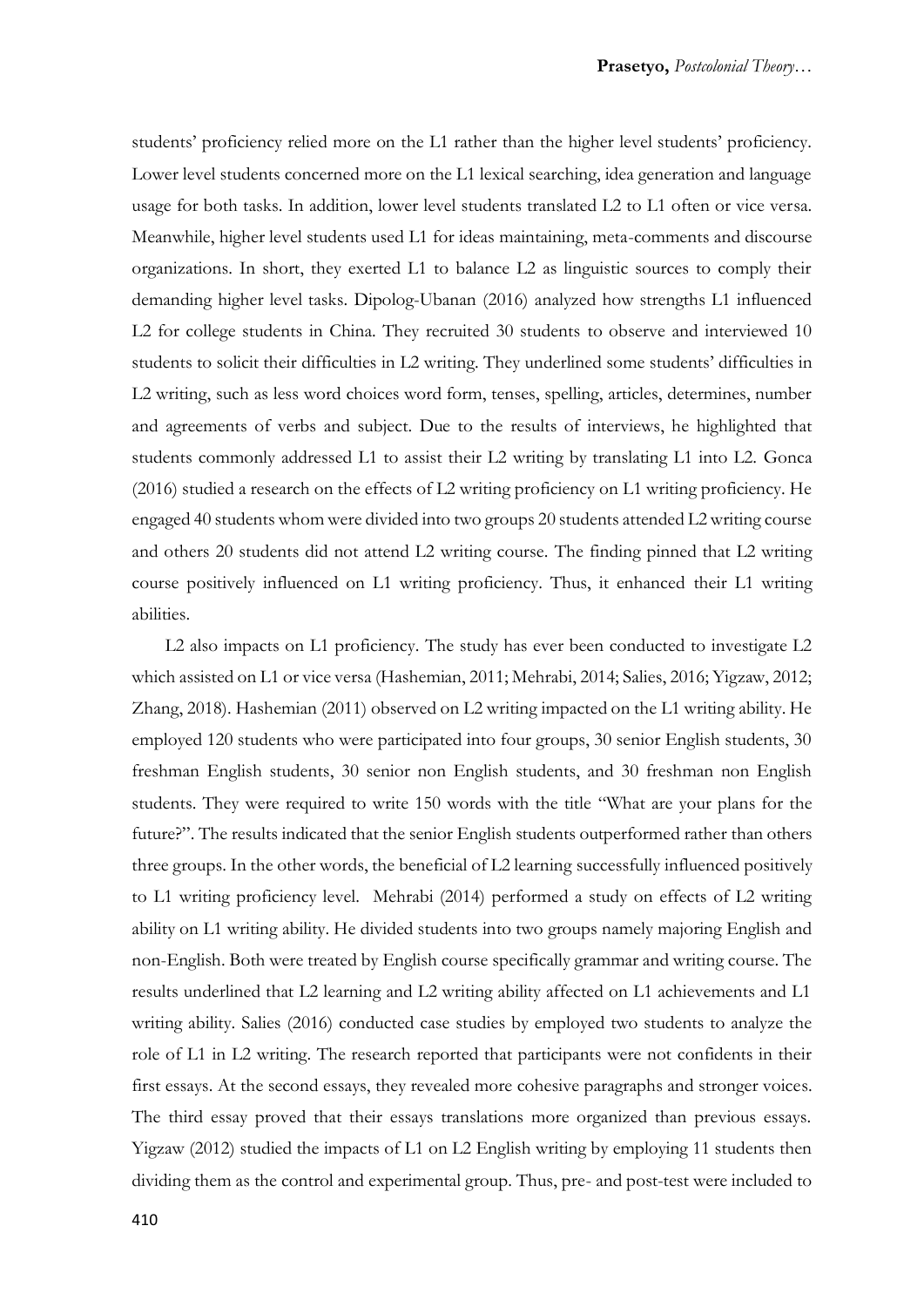students' proficiency relied more on the L1 rather than the higher level students' proficiency. Lower level students concerned more on the L1 lexical searching, idea generation and language usage for both tasks. In addition, lower level students translated L2 to L1 often or vice versa. Meanwhile, higher level students used L1 for ideas maintaining, meta-comments and discourse organizations. In short, they exerted L1 to balance L2 as linguistic sources to comply their demanding higher level tasks. Dipolog-Ubanan (2016) analyzed how strengths L1 influenced L2 for college students in China. They recruited 30 students to observe and interviewed 10 students to solicit their difficulties in L2 writing. They underlined some students' difficulties in L2 writing, such as less word choices word form, tenses, spelling, articles, determines, number and agreements of verbs and subject. Due to the results of interviews, he highlighted that students commonly addressed L1 to assist their L2 writing by translating L1 into L2. Gonca (2016) studied a research on the effects of L2 writing proficiency on L1 writing proficiency. He engaged 40 students whom were divided into two groups 20 students attended L2 writing course and others 20 students did not attend L2 writing course. The finding pinned that L2 writing course positively influenced on L1 writing proficiency. Thus, it enhanced their L1 writing abilities.

L2 also impacts on L1 proficiency. The study has ever been conducted to investigate L2 which assisted on L1 or vice versa (Hashemian, 2011; Mehrabi, 2014; Salies, 2016; Yigzaw, 2012; Zhang, 2018). Hashemian (2011) observed on L2 writing impacted on the L1 writing ability. He employed 120 students who were participated into four groups, 30 senior English students, 30 freshman English students, 30 senior non English students, and 30 freshman non English students. They were required to write 150 words with the title "What are your plans for the future?". The results indicated that the senior English students outperformed rather than others three groups. In the other words, the beneficial of L2 learning successfully influenced positively to L1 writing proficiency level. Mehrabi (2014) performed a study on effects of L2 writing ability on L1 writing ability. He divided students into two groups namely majoring English and non-English. Both were treated by English course specifically grammar and writing course. The results underlined that L2 learning and L2 writing ability affected on L1 achievements and L1 writing ability. Salies (2016) conducted case studies by employed two students to analyze the role of L1 in L2 writing. The research reported that participants were not confidents in their first essays. At the second essays, they revealed more cohesive paragraphs and stronger voices. The third essay proved that their essays translations more organized than previous essays. Yigzaw (2012) studied the impacts of L1 on L2 English writing by employing 11 students then dividing them as the control and experimental group. Thus, pre- and post-test were included to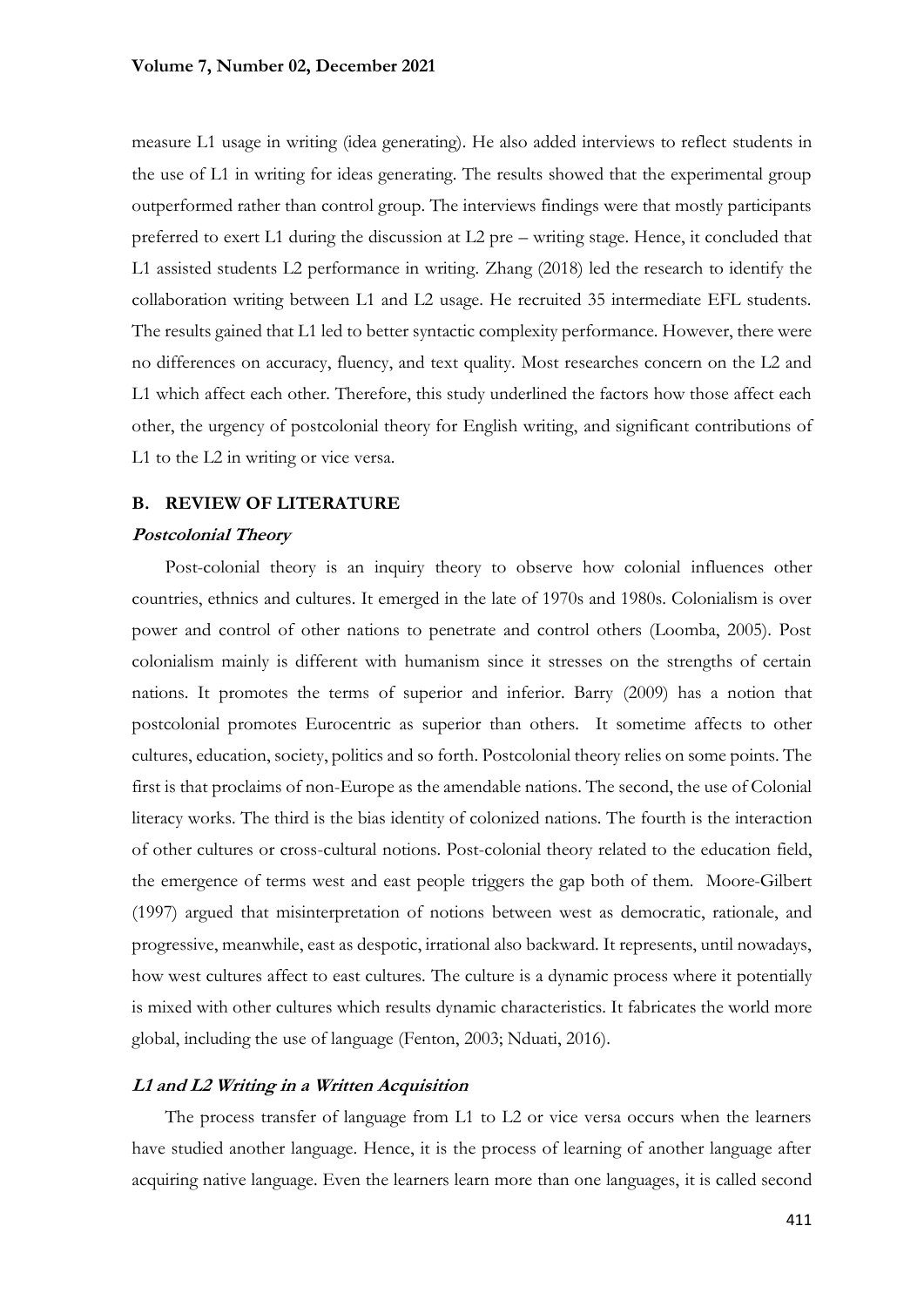measure L1 usage in writing (idea generating). He also added interviews to reflect students in the use of L1 in writing for ideas generating. The results showed that the experimental group outperformed rather than control group. The interviews findings were that mostly participants preferred to exert L1 during the discussion at L2 pre – writing stage. Hence, it concluded that L1 assisted students L2 performance in writing. Zhang (2018) led the research to identify the collaboration writing between L1 and L2 usage. He recruited 35 intermediate EFL students. The results gained that L1 led to better syntactic complexity performance. However, there were no differences on accuracy, fluency, and text quality. Most researches concern on the L2 and L1 which affect each other. Therefore, this study underlined the factors how those affect each other, the urgency of postcolonial theory for English writing, and significant contributions of L1 to the L2 in writing or vice versa.

# **B. REVIEW OF LITERATURE**

#### **Postcolonial Theory**

Post-colonial theory is an inquiry theory to observe how colonial influences other countries, ethnics and cultures. It emerged in the late of 1970s and 1980s. Colonialism is over power and control of other nations to penetrate and control others (Loomba, 2005). Post colonialism mainly is different with humanism since it stresses on the strengths of certain nations. It promotes the terms of superior and inferior. Barry (2009) has a notion that postcolonial promotes Eurocentric as superior than others. It sometime affects to other cultures, education, society, politics and so forth. Postcolonial theory relies on some points. The first is that proclaims of non-Europe as the amendable nations. The second, the use of Colonial literacy works. The third is the bias identity of colonized nations. The fourth is the interaction of other cultures or cross-cultural notions. Post-colonial theory related to the education field, the emergence of terms west and east people triggers the gap both of them. Moore-Gilbert (1997) argued that misinterpretation of notions between west as democratic, rationale, and progressive, meanwhile, east as despotic, irrational also backward. It represents, until nowadays, how west cultures affect to east cultures. The culture is a dynamic process where it potentially is mixed with other cultures which results dynamic characteristics. It fabricates the world more global, including the use of language (Fenton, 2003; Nduati, 2016).

# **L1 and L2 Writing in a Written Acquisition**

The process transfer of language from L1 to L2 or vice versa occurs when the learners have studied another language. Hence, it is the process of learning of another language after acquiring native language. Even the learners learn more than one languages, it is called second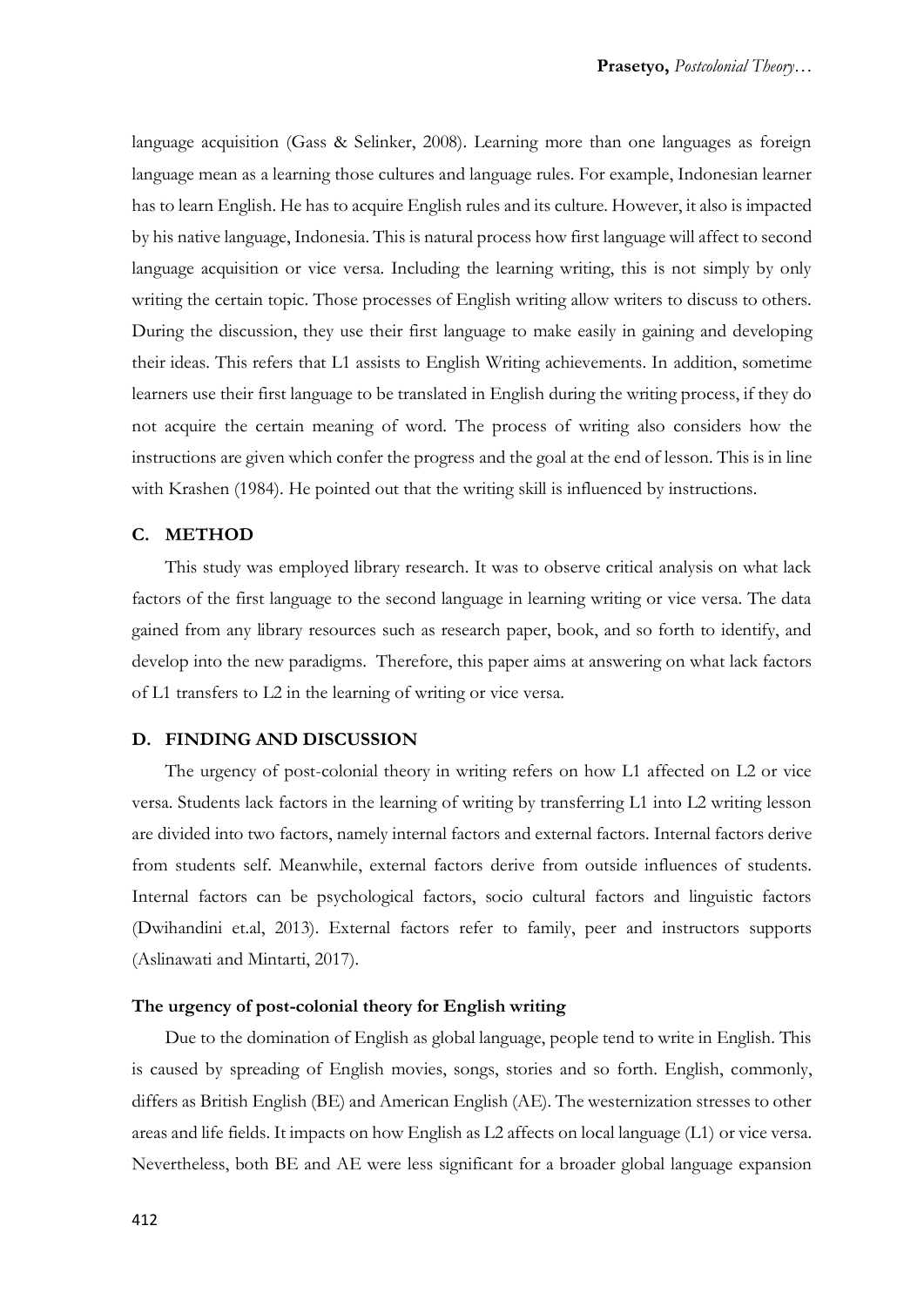language acquisition (Gass & Selinker, 2008). Learning more than one languages as foreign language mean as a learning those cultures and language rules. For example, Indonesian learner has to learn English. He has to acquire English rules and its culture. However, it also is impacted by his native language, Indonesia. This is natural process how first language will affect to second language acquisition or vice versa. Including the learning writing, this is not simply by only writing the certain topic. Those processes of English writing allow writers to discuss to others. During the discussion, they use their first language to make easily in gaining and developing their ideas. This refers that L1 assists to English Writing achievements. In addition, sometime learners use their first language to be translated in English during the writing process, if they do not acquire the certain meaning of word. The process of writing also considers how the instructions are given which confer the progress and the goal at the end of lesson. This is in line with Krashen (1984). He pointed out that the writing skill is influenced by instructions.

# **C. METHOD**

This study was employed library research. It was to observe critical analysis on what lack factors of the first language to the second language in learning writing or vice versa. The data gained from any library resources such as research paper, book, and so forth to identify, and develop into the new paradigms. Therefore, this paper aims at answering on what lack factors of L1 transfers to L2 in the learning of writing or vice versa.

# **D. FINDING AND DISCUSSION**

The urgency of post-colonial theory in writing refers on how L1 affected on L2 or vice versa. Students lack factors in the learning of writing by transferring L1 into L2 writing lesson are divided into two factors, namely internal factors and external factors. Internal factors derive from students self. Meanwhile, external factors derive from outside influences of students. Internal factors can be psychological factors, socio cultural factors and linguistic factors (Dwihandini et.al, 2013). External factors refer to family, peer and instructors supports (Aslinawati and Mintarti, 2017).

# **The urgency of post-colonial theory for English writing**

Due to the domination of English as global language, people tend to write in English. This is caused by spreading of English movies, songs, stories and so forth. English, commonly, differs as British English (BE) and American English (AE). The westernization stresses to other areas and life fields. It impacts on how English as L2 affects on local language (L1) or vice versa. Nevertheless, both BE and AE were less significant for a broader global language expansion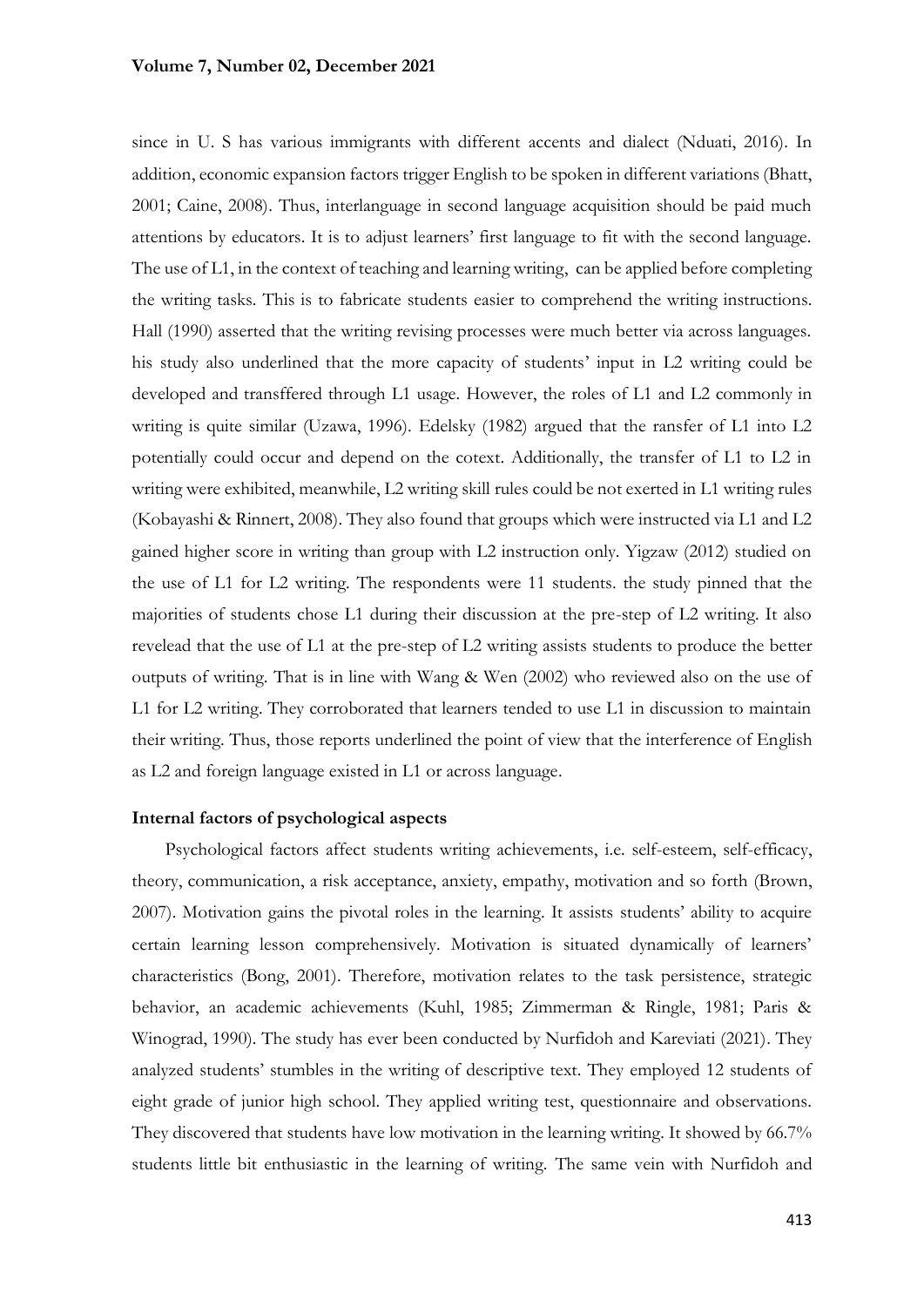#### **Volume 7, Number 02, December 2021**

since in U. S has various immigrants with different accents and dialect (Nduati, 2016). In addition, economic expansion factors trigger English to be spoken in different variations (Bhatt, 2001; Caine, 2008). Thus, interlanguage in second language acquisition should be paid much attentions by educators. It is to adjust learners' first language to fit with the second language. The use of L1, in the context of teaching and learning writing, can be applied before completing the writing tasks. This is to fabricate students easier to comprehend the writing instructions. Hall (1990) asserted that the writing revising processes were much better via across languages. his study also underlined that the more capacity of students' input in L2 writing could be developed and transffered through L1 usage. However, the roles of L1 and L2 commonly in writing is quite similar (Uzawa, 1996). Edelsky (1982) argued that the ransfer of L1 into L2 potentially could occur and depend on the cotext. Additionally, the transfer of L1 to L2 in writing were exhibited, meanwhile, L2 writing skill rules could be not exerted in L1 writing rules (Kobayashi & Rinnert, 2008). They also found that groups which were instructed via L1 and L2 gained higher score in writing than group with L2 instruction only. Yigzaw (2012) studied on the use of L1 for L2 writing. The respondents were 11 students. the study pinned that the majorities of students chose L1 during their discussion at the pre-step of L2 writing. It also revelead that the use of L1 at the pre-step of L2 writing assists students to produce the better outputs of writing. That is in line with Wang & Wen (2002) who reviewed also on the use of L1 for L2 writing. They corroborated that learners tended to use L1 in discussion to maintain their writing. Thus, those reports underlined the point of view that the interference of English as L2 and foreign language existed in L1 or across language.

#### **Internal factors of psychological aspects**

Psychological factors affect students writing achievements, i.e. self-esteem, self-efficacy, theory, communication, a risk acceptance, anxiety, empathy, motivation and so forth (Brown, 2007). Motivation gains the pivotal roles in the learning. It assists students' ability to acquire certain learning lesson comprehensively. Motivation is situated dynamically of learners' characteristics (Bong, 2001). Therefore, motivation relates to the task persistence, strategic behavior, an academic achievements (Kuhl, 1985; Zimmerman & Ringle, 1981; Paris & Winograd, 1990). The study has ever been conducted by Nurfidoh and Kareviati (2021). They analyzed students' stumbles in the writing of descriptive text. They employed 12 students of eight grade of junior high school. They applied writing test, questionnaire and observations. They discovered that students have low motivation in the learning writing. It showed by 66.7% students little bit enthusiastic in the learning of writing. The same vein with Nurfidoh and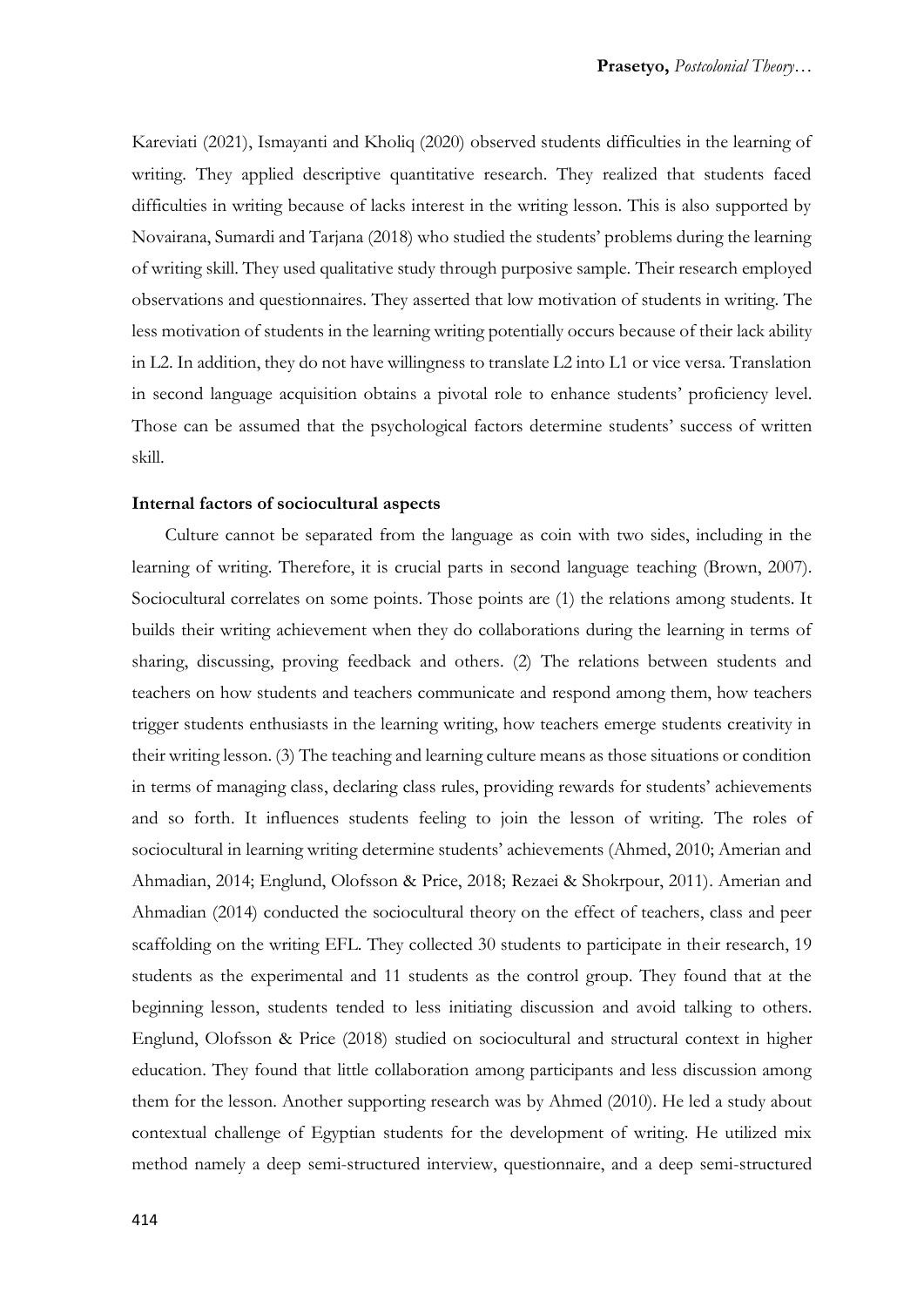Kareviati (2021), Ismayanti and Kholiq (2020) observed students difficulties in the learning of writing. They applied descriptive quantitative research. They realized that students faced difficulties in writing because of lacks interest in the writing lesson. This is also supported by Novairana, Sumardi and Tarjana (2018) who studied the students' problems during the learning of writing skill. They used qualitative study through purposive sample. Their research employed observations and questionnaires. They asserted that low motivation of students in writing. The less motivation of students in the learning writing potentially occurs because of their lack ability in L2. In addition, they do not have willingness to translate L2 into L1 or vice versa. Translation in second language acquisition obtains a pivotal role to enhance students' proficiency level. Those can be assumed that the psychological factors determine students' success of written skill.

# **Internal factors of sociocultural aspects**

Culture cannot be separated from the language as coin with two sides, including in the learning of writing. Therefore, it is crucial parts in second language teaching (Brown, 2007). Sociocultural correlates on some points. Those points are (1) the relations among students. It builds their writing achievement when they do collaborations during the learning in terms of sharing, discussing, proving feedback and others. (2) The relations between students and teachers on how students and teachers communicate and respond among them, how teachers trigger students enthusiasts in the learning writing, how teachers emerge students creativity in their writing lesson. (3) The teaching and learning culture means as those situations or condition in terms of managing class, declaring class rules, providing rewards for students' achievements and so forth. It influences students feeling to join the lesson of writing. The roles of sociocultural in learning writing determine students' achievements (Ahmed, 2010; Amerian and Ahmadian, 2014; Englund, Olofsson & Price, 2018; Rezaei & Shokrpour, 2011). Amerian and Ahmadian (2014) conducted the sociocultural theory on the effect of teachers, class and peer scaffolding on the writing EFL. They collected 30 students to participate in their research, 19 students as the experimental and 11 students as the control group. They found that at the beginning lesson, students tended to less initiating discussion and avoid talking to others. Englund, Olofsson & Price (2018) studied on sociocultural and structural context in higher education. They found that little collaboration among participants and less discussion among them for the lesson. Another supporting research was by Ahmed (2010). He led a study about contextual challenge of Egyptian students for the development of writing. He utilized mix method namely a deep semi-structured interview, questionnaire, and a deep semi-structured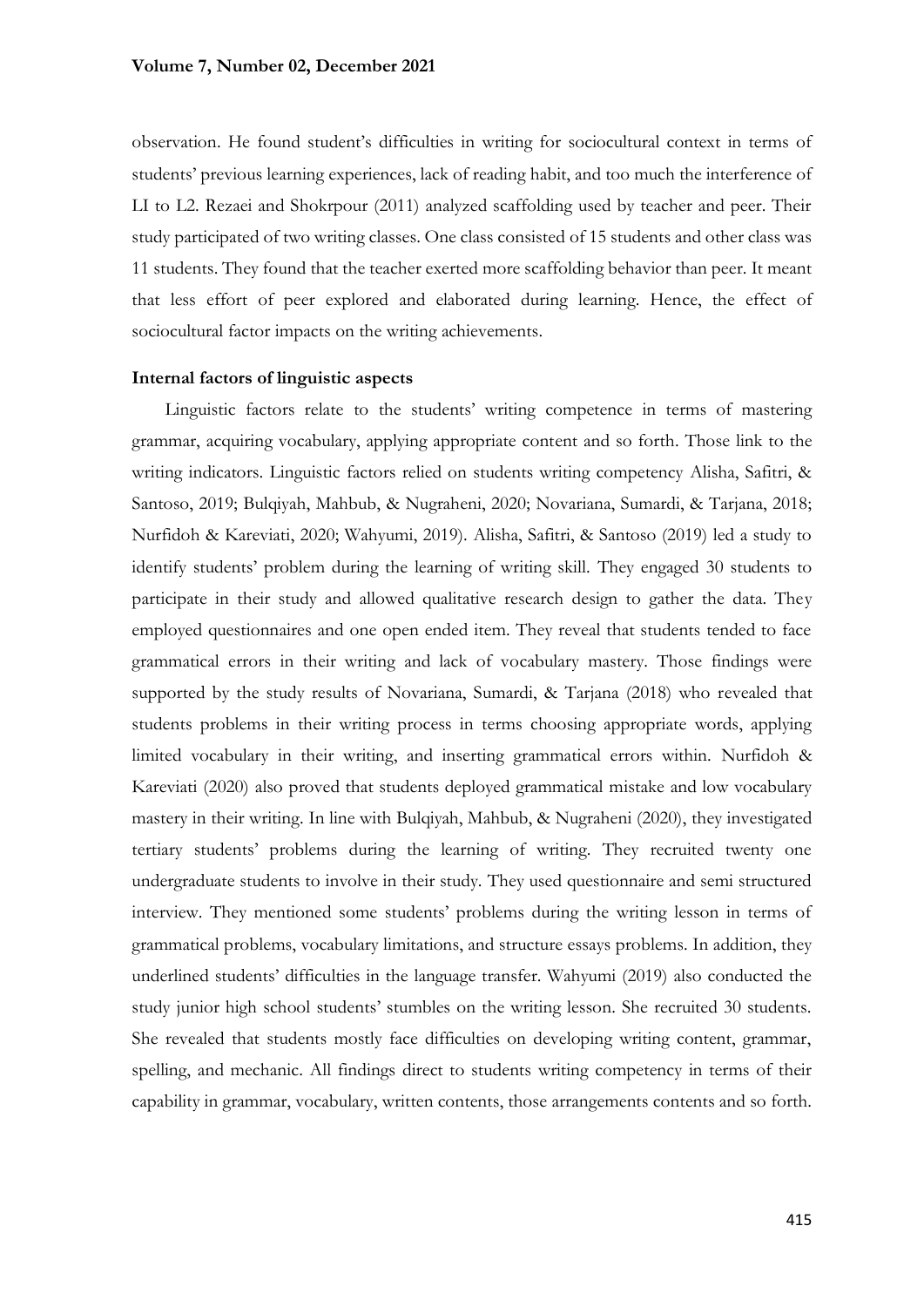observation. He found student's difficulties in writing for sociocultural context in terms of students' previous learning experiences, lack of reading habit, and too much the interference of LI to L2. Rezaei and Shokrpour (2011) analyzed scaffolding used by teacher and peer. Their study participated of two writing classes. One class consisted of 15 students and other class was 11 students. They found that the teacher exerted more scaffolding behavior than peer. It meant that less effort of peer explored and elaborated during learning. Hence, the effect of sociocultural factor impacts on the writing achievements.

# **Internal factors of linguistic aspects**

Linguistic factors relate to the students' writing competence in terms of mastering grammar, acquiring vocabulary, applying appropriate content and so forth. Those link to the writing indicators. Linguistic factors relied on students writing competency Alisha, Safitri, & Santoso, 2019; Bulqiyah, Mahbub, & Nugraheni, 2020; Novariana, Sumardi, & Tarjana, 2018; Nurfidoh & Kareviati, 2020; Wahyumi, 2019). Alisha, Safitri, & Santoso (2019) led a study to identify students' problem during the learning of writing skill. They engaged 30 students to participate in their study and allowed qualitative research design to gather the data. They employed questionnaires and one open ended item. They reveal that students tended to face grammatical errors in their writing and lack of vocabulary mastery. Those findings were supported by the study results of Novariana, Sumardi, & Tarjana (2018) who revealed that students problems in their writing process in terms choosing appropriate words, applying limited vocabulary in their writing, and inserting grammatical errors within. Nurfidoh & Kareviati (2020) also proved that students deployed grammatical mistake and low vocabulary mastery in their writing. In line with Bulqiyah, Mahbub, & Nugraheni (2020), they investigated tertiary students' problems during the learning of writing. They recruited twenty one undergraduate students to involve in their study. They used questionnaire and semi structured interview. They mentioned some students' problems during the writing lesson in terms of grammatical problems, vocabulary limitations, and structure essays problems. In addition, they underlined students' difficulties in the language transfer. Wahyumi (2019) also conducted the study junior high school students' stumbles on the writing lesson. She recruited 30 students. She revealed that students mostly face difficulties on developing writing content, grammar, spelling, and mechanic. All findings direct to students writing competency in terms of their capability in grammar, vocabulary, written contents, those arrangements contents and so forth.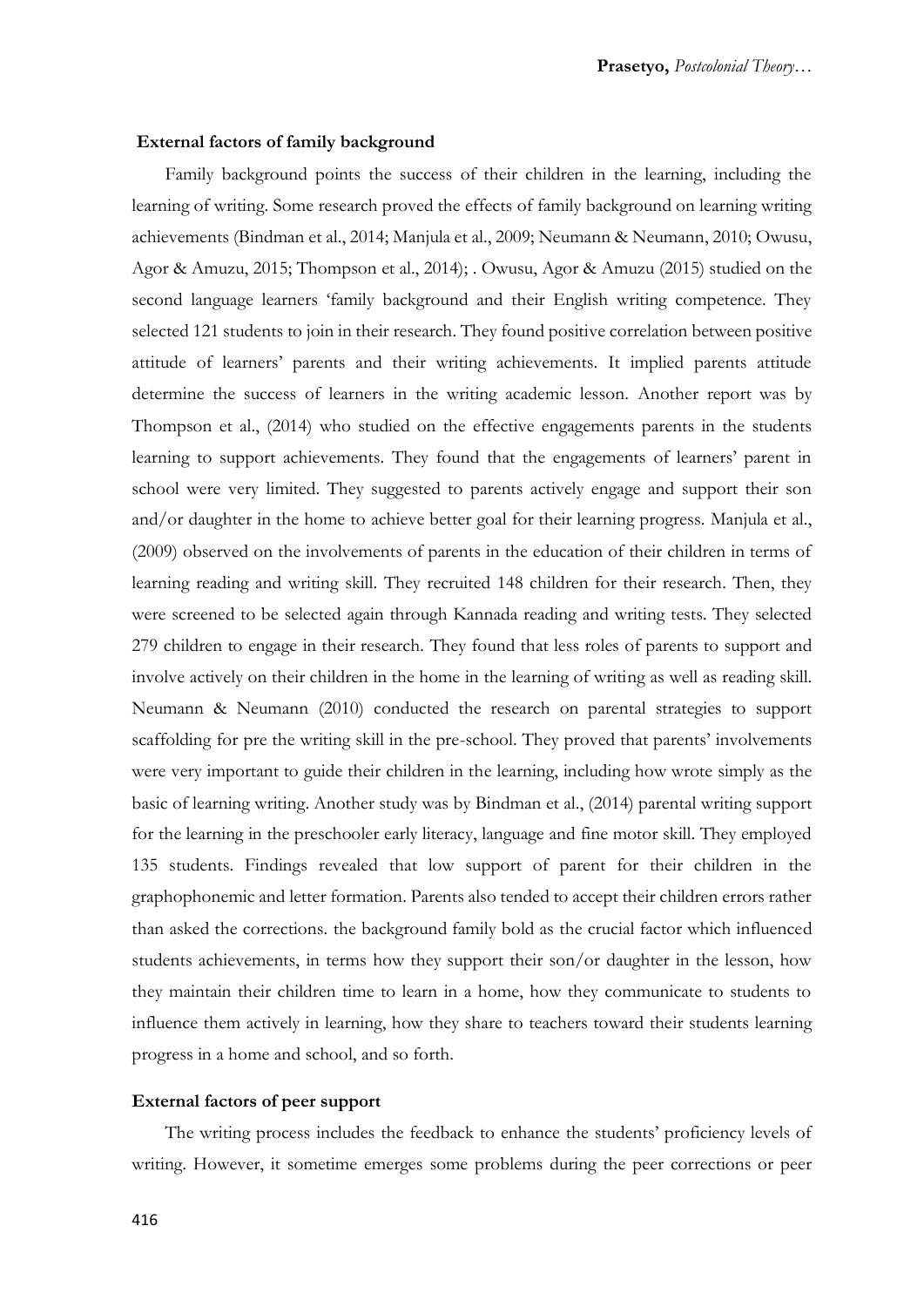#### **External factors of family background**

Family background points the success of their children in the learning, including the learning of writing. Some research proved the effects of family background on learning writing achievements (Bindman et al., 2014; Manjula et al., 2009; Neumann & Neumann, 2010; Owusu, Agor & Amuzu, 2015; Thompson et al., 2014); . Owusu, Agor & Amuzu (2015) studied on the second language learners 'family background and their English writing competence. They selected 121 students to join in their research. They found positive correlation between positive attitude of learners' parents and their writing achievements. It implied parents attitude determine the success of learners in the writing academic lesson. Another report was by Thompson et al., (2014) who studied on the effective engagements parents in the students learning to support achievements. They found that the engagements of learners' parent in school were very limited. They suggested to parents actively engage and support their son and/or daughter in the home to achieve better goal for their learning progress. Manjula et al., (2009) observed on the involvements of parents in the education of their children in terms of learning reading and writing skill. They recruited 148 children for their research. Then, they were screened to be selected again through Kannada reading and writing tests. They selected 279 children to engage in their research. They found that less roles of parents to support and involve actively on their children in the home in the learning of writing as well as reading skill. Neumann & Neumann (2010) conducted the research on parental strategies to support scaffolding for pre the writing skill in the pre-school. They proved that parents' involvements were very important to guide their children in the learning, including how wrote simply as the basic of learning writing. Another study was by Bindman et al., (2014) parental writing support for the learning in the preschooler early literacy, language and fine motor skill. They employed 135 students. Findings revealed that low support of parent for their children in the graphophonemic and letter formation. Parents also tended to accept their children errors rather than asked the corrections. the background family bold as the crucial factor which influenced students achievements, in terms how they support their son/or daughter in the lesson, how they maintain their children time to learn in a home, how they communicate to students to influence them actively in learning, how they share to teachers toward their students learning progress in a home and school, and so forth.

### **External factors of peer support**

The writing process includes the feedback to enhance the students' proficiency levels of writing. However, it sometime emerges some problems during the peer corrections or peer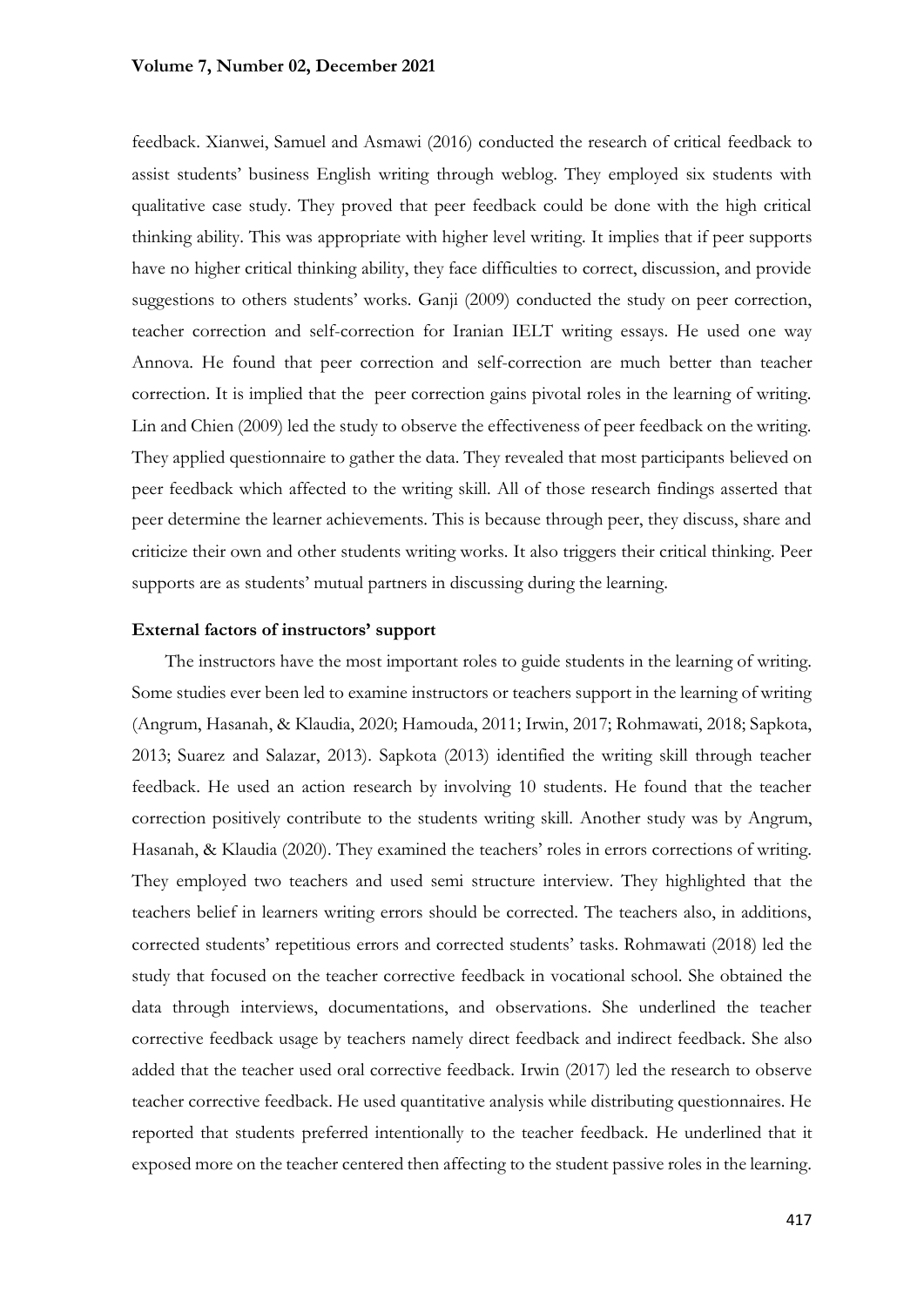feedback. Xianwei, Samuel and Asmawi (2016) conducted the research of critical feedback to assist students' business English writing through weblog. They employed six students with qualitative case study. They proved that peer feedback could be done with the high critical thinking ability. This was appropriate with higher level writing. It implies that if peer supports have no higher critical thinking ability, they face difficulties to correct, discussion, and provide suggestions to others students' works. Ganji (2009) conducted the study on peer correction, teacher correction and self-correction for Iranian IELT writing essays. He used one way Annova. He found that peer correction and self-correction are much better than teacher correction. It is implied that the peer correction gains pivotal roles in the learning of writing. Lin and Chien (2009) led the study to observe the effectiveness of peer feedback on the writing. They applied questionnaire to gather the data. They revealed that most participants believed on peer feedback which affected to the writing skill. All of those research findings asserted that peer determine the learner achievements. This is because through peer, they discuss, share and criticize their own and other students writing works. It also triggers their critical thinking. Peer supports are as students' mutual partners in discussing during the learning.

#### **External factors of instructors' support**

The instructors have the most important roles to guide students in the learning of writing. Some studies ever been led to examine instructors or teachers support in the learning of writing (Angrum, Hasanah, & Klaudia, 2020; Hamouda, 2011; Irwin, 2017; Rohmawati, 2018; Sapkota, 2013; Suarez and Salazar, 2013). Sapkota (2013) identified the writing skill through teacher feedback. He used an action research by involving 10 students. He found that the teacher correction positively contribute to the students writing skill. Another study was by Angrum, Hasanah, & Klaudia (2020). They examined the teachers' roles in errors corrections of writing. They employed two teachers and used semi structure interview. They highlighted that the teachers belief in learners writing errors should be corrected. The teachers also, in additions, corrected students' repetitious errors and corrected students' tasks. Rohmawati (2018) led the study that focused on the teacher corrective feedback in vocational school. She obtained the data through interviews, documentations, and observations. She underlined the teacher corrective feedback usage by teachers namely direct feedback and indirect feedback. She also added that the teacher used oral corrective feedback. Irwin (2017) led the research to observe teacher corrective feedback. He used quantitative analysis while distributing questionnaires. He reported that students preferred intentionally to the teacher feedback. He underlined that it exposed more on the teacher centered then affecting to the student passive roles in the learning.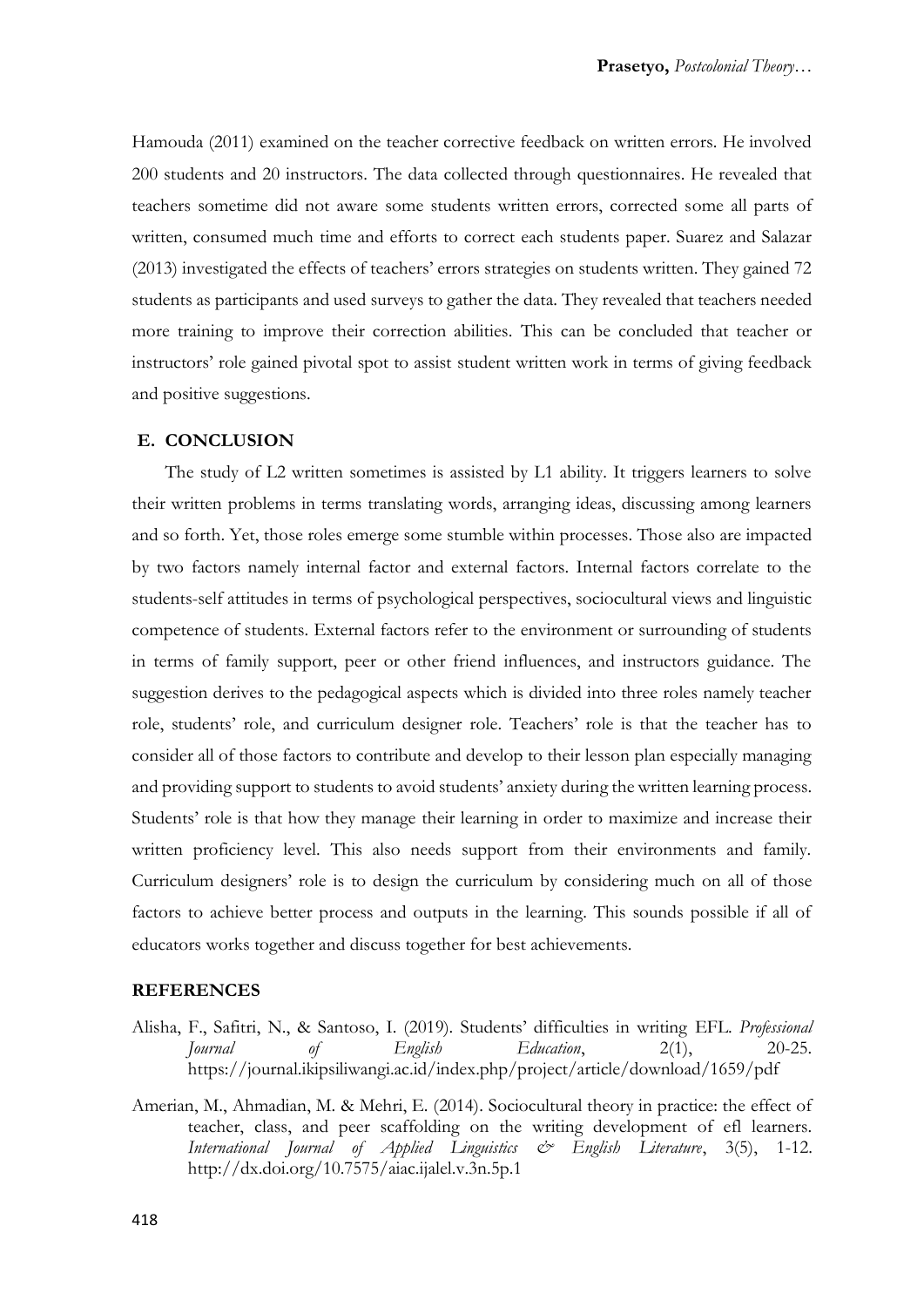Hamouda (2011) examined on the teacher corrective feedback on written errors. He involved 200 students and 20 instructors. The data collected through questionnaires. He revealed that teachers sometime did not aware some students written errors, corrected some all parts of written, consumed much time and efforts to correct each students paper. Suarez and Salazar (2013) investigated the effects of teachers' errors strategies on students written. They gained 72 students as participants and used surveys to gather the data. They revealed that teachers needed more training to improve their correction abilities. This can be concluded that teacher or instructors' role gained pivotal spot to assist student written work in terms of giving feedback and positive suggestions.

# **E. CONCLUSION**

The study of L2 written sometimes is assisted by L1 ability. It triggers learners to solve their written problems in terms translating words, arranging ideas, discussing among learners and so forth. Yet, those roles emerge some stumble within processes. Those also are impacted by two factors namely internal factor and external factors. Internal factors correlate to the students-self attitudes in terms of psychological perspectives, sociocultural views and linguistic competence of students. External factors refer to the environment or surrounding of students in terms of family support, peer or other friend influences, and instructors guidance. The suggestion derives to the pedagogical aspects which is divided into three roles namely teacher role, students' role, and curriculum designer role. Teachers' role is that the teacher has to consider all of those factors to contribute and develop to their lesson plan especially managing and providing support to students to avoid students' anxiety during the written learning process. Students' role is that how they manage their learning in order to maximize and increase their written proficiency level. This also needs support from their environments and family. Curriculum designers' role is to design the curriculum by considering much on all of those factors to achieve better process and outputs in the learning. This sounds possible if all of educators works together and discuss together for best achievements.

### **REFERENCES**

- Alisha, F., Safitri, N., & Santoso, I. (2019). Students' difficulties in writing EFL. *Professional Journal of English Education*, 2(1), 20-25. https://journal.ikipsiliwangi.ac.id/index.php/project/article/download/1659/pdf
- Amerian, M., Ahmadian, M. & Mehri, E. (2014). Sociocultural theory in practice: the effect of teacher, class, and peer scaffolding on the writing development of efl learners. *International Journal of Applied Linguistics & English Literature*, 3(5), 1-12. <http://dx.doi.org/10.7575/aiac.ijalel.v.3n.5p.1>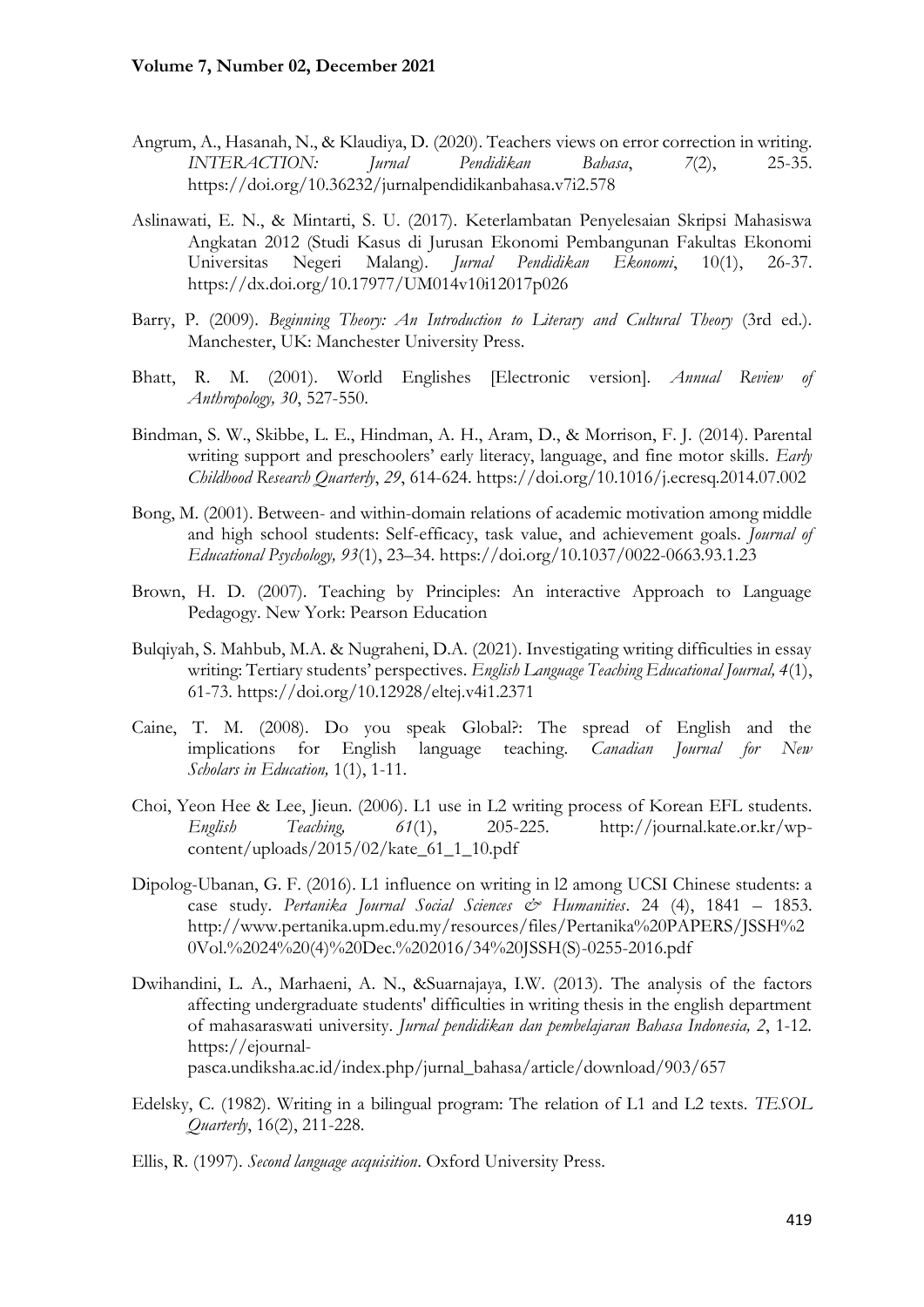- Angrum, A., Hasanah, N., & Klaudiya, D. (2020). Teachers views on error correction in writing. *INTERACTION: Jurnal Pendidikan Bahasa*, *7*(2), 25-35. https://doi.org/10.36232/jurnalpendidikanbahasa.v7i2.578
- Aslinawati, E. N., & Mintarti, S. U. (2017). Keterlambatan Penyelesaian Skripsi Mahasiswa Angkatan 2012 (Studi Kasus di Jurusan Ekonomi Pembangunan Fakultas Ekonomi Universitas Negeri Malang). *Jurnal Pendidikan Ekonomi*, 10(1), 26-37. <https://dx.doi.org/10.17977/UM014v10i12017p026>
- Barry, P. (2009). *Beginning Theory: An Introduction to Literary and Cultural Theory* (3rd ed.). Manchester, UK: Manchester University Press.
- Bhatt, R. M. (2001). World Englishes [Electronic version]. *Annual Review of Anthropology, 30*, 527-550.
- Bindman, S. W., Skibbe, L. E., Hindman, A. H., Aram, D., & Morrison, F. J. (2014). Parental writing support and preschoolers' early literacy, language, and fine motor skills. *Early Childhood Research Quarterly*, *29*, 614-624.<https://doi.org/10.1016/j.ecresq.2014.07.002>
- Bong, M. (2001). Between- and within-domain relations of academic motivation among middle and high school students: Self-efficacy, task value, and achievement goals. *Journal of Educational Psychology, 93*(1), 23–34. [https://doi.org/10.1037/0022-0663.93.1.23](https://psycnet.apa.org/doi/10.1037/0022-0663.93.1.23)
- Brown, H. D. (2007). Teaching by Principles: An interactive Approach to Language Pedagogy. New York: Pearson Education
- Bulqiyah, S. Mahbub, M.A. & Nugraheni, D.A. (2021). Investigating writing difficulties in essay writing: Tertiary students' perspectives. *English Language Teaching Educational Journal, 4*(1), 61-73.<https://doi.org/10.12928/eltej.v4i1.2371>
- Caine, T. M. (2008). Do you speak Global?: The spread of English and the implications for English language teaching. *Canadian Journal for New Scholars in Education,* 1(1), 1-11.
- Choi, Yeon Hee & Lee, Jieun. (2006). L1 use in L2 writing process of Korean EFL students. *English Teaching, 61*(1), 205-225. [http://journal.kate.or.kr/wp](http://journal.kate.or.kr/wp-content/uploads/2015/02/kate_61_1_10.pdf)[content/uploads/2015/02/kate\\_61\\_1\\_10.pdf](http://journal.kate.or.kr/wp-content/uploads/2015/02/kate_61_1_10.pdf)
- Dipolog-Ubanan, G. F. (2016). L1 influence on writing in l2 among UCSI Chinese students: a case study. *Pertanika Journal Social Sciences & Humanities*. 24 (4), 1841 – 1853. [http://www.pertanika.upm.edu.my/resources/files/Pertanika%20PAPERS/JSSH%2](http://www.pertanika.upm.edu.my/resources/files/Pertanika%20PAPERS/JSSH%20Vol.%2024%20(4)%20Dec.%202016/34%20JSSH(S)-0255-2016.pdf) [0Vol.%2024%20\(4\)%20Dec.%202016/34%20JSSH\(S\)-0255-2016.pdf](http://www.pertanika.upm.edu.my/resources/files/Pertanika%20PAPERS/JSSH%20Vol.%2024%20(4)%20Dec.%202016/34%20JSSH(S)-0255-2016.pdf)
- Dwihandini, L. A., Marhaeni, A. N., &Suarnajaya, I.W. (2013). The analysis of the factors affecting undergraduate students' difficulties in writing thesis in the english department of mahasaraswati university. *Jurnal pendidikan dan pembelajaran Bahasa Indonesia, 2*, 1-12. [https://ejournal](https://ejournal-pasca.undiksha.ac.id/index.php/jurnal_bahasa/article/download/903/657)[pasca.undiksha.ac.id/index.php/jurnal\\_bahasa/article/download/903/657](https://ejournal-pasca.undiksha.ac.id/index.php/jurnal_bahasa/article/download/903/657)
- Edelsky, C. (1982). Writing in a bilingual program: The relation of L1 and L2 texts. *TESOL Quarterly*, 16(2), 211-228.
- Ellis, R. (1997). *Second language acquisition*. Oxford University Press.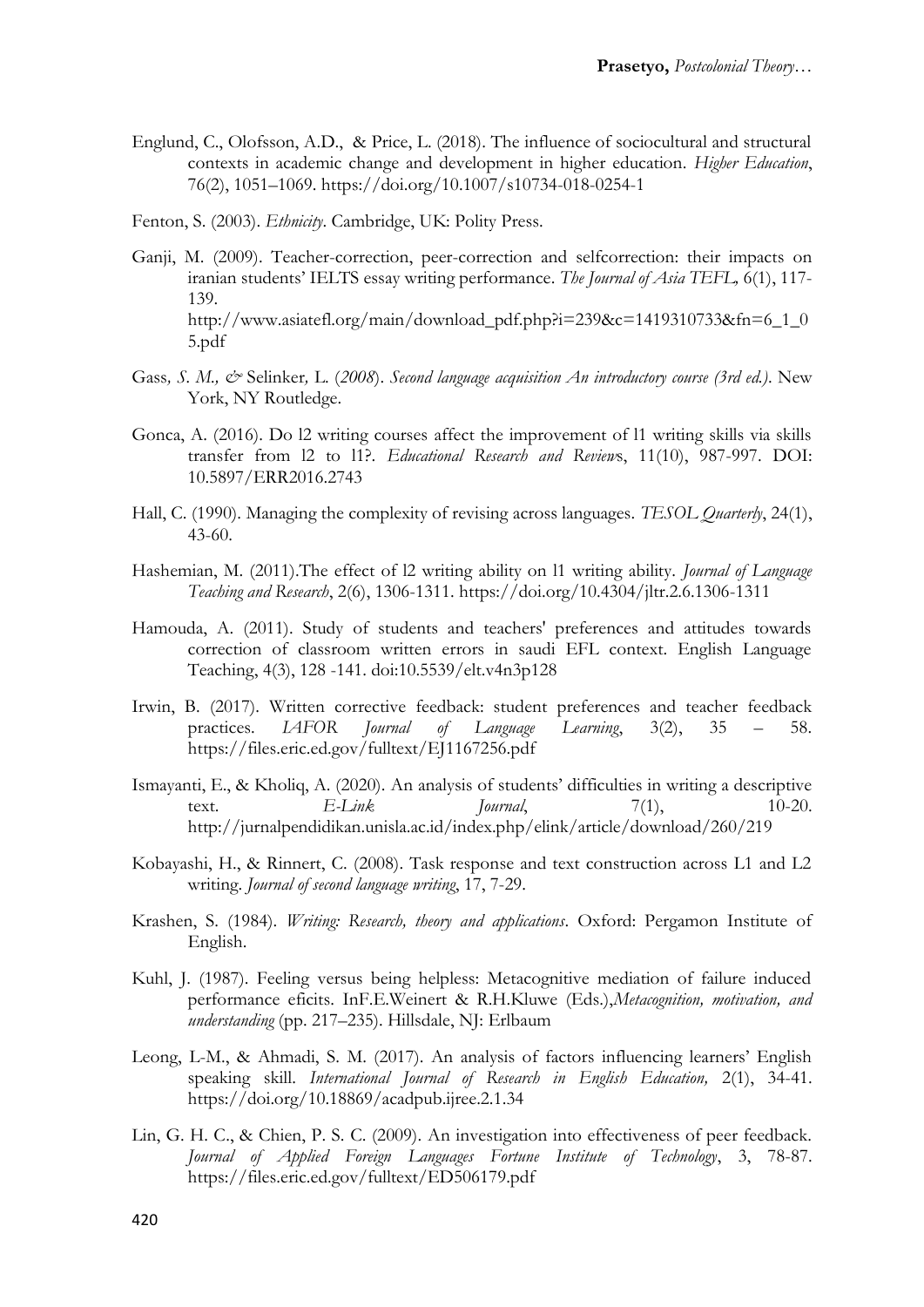- Englund, C., Olofsson, A.D., & Price, L. (2018). The influence of sociocultural and structural contexts in academic change and development in higher education. *Higher Education*, 76(2), 1051–1069.<https://doi.org/10.1007/s10734-018-0254-1>
- Fenton, S. (2003). *Ethnicity*. Cambridge, UK: Polity Press.
- Ganji, M. (2009). Teacher-correction, peer-correction and selfcorrection: their impacts on iranian students' IELTS essay writing performance. *The Journal of Asia TEFL,* 6(1), 117- 139. [http://www.asiatefl.org/main/download\\_pdf.php?i=239&c=1419310733&fn=6\\_1\\_0](http://www.asiatefl.org/main/download_pdf.php?i=239&c=1419310733&fn=6_1_05.pdf) [5.pdf](http://www.asiatefl.org/main/download_pdf.php?i=239&c=1419310733&fn=6_1_05.pdf)
- Gass*, S. M., &* Selinker*,* L. (*2008*). *Second language acquisition An introductory course (3rd ed.)*. New York, NY Routledge.
- Gonca, A. (2016). Do l2 writing courses affect the improvement of l1 writing skills via skills transfer from l2 to l1?. *Educational Research and Review*s, 11(10), 987-997. DOI: 10.5897/ERR2016.2743
- Hall, C. (1990). Managing the complexity of revising across languages. *TESOL Quarterly*, 24(1), 43-60.
- Hashemian, M. (2011).The effect of l2 writing ability on l1 writing ability. *Journal of Language Teaching and Research*, 2(6), 1306-1311.<https://doi.org/10.4304/jltr.2.6.1306-1311>
- Hamouda, A. (2011). Study of students and teachers' preferences and attitudes towards correction of classroom written errors in saudi EFL context. English Language Teaching, 4(3), 128 -141. doi:10.5539/elt.v4n3p128
- Irwin, B. (2017). Written corrective feedback: student preferences and teacher feedback practices. *IAFOR Journal of Language Learning*, 3(2), 35 – 58. <https://files.eric.ed.gov/fulltext/EJ1167256.pdf>
- Ismayanti, E., & Kholiq, A. (2020). An analysis of students' difficulties in writing a descriptive text. *E-Link Journal*, 7(1), 10-20. <http://jurnalpendidikan.unisla.ac.id/index.php/elink/article/download/260/219>
- Kobayashi, H., & Rinnert, C. (2008). Task response and text construction across L1 and L2 writing. *Journal of second language writing*, 17, 7-29.
- Krashen, S. (1984). *Writing: Research, theory and applications*. Oxford: Pergamon Institute of English.
- Kuhl, J. (1987). Feeling versus being helpless: Metacognitive mediation of failure induced performance eficits. InF.E.Weinert & R.H.Kluwe (Eds.),*Metacognition, motivation, and understanding* (pp. 217–235). Hillsdale, NJ: Erlbaum
- Leong, L-M., & Ahmadi, S. M. (2017). An analysis of factors influencing learners' English speaking skill. *International Journal of Research in English Education,* [2\(1\), 34-41.](https://ijreeonline.com/browse.php?mag_id=2&slc_lang=en&sid=1) https://doi.org[/10.18869/acadpub.ijree.2.1.34](http://dx.doi.org/10.18869/acadpub.ijree.2.1.34)
- Lin, G. H. C., & Chien, P. S. C. (2009). An investigation into effectiveness of peer feedback. *Journal of Applied Foreign Languages Fortune Institute of Technology*, 3, 78-87. https://files.eric.ed.gov/fulltext/ED506179.pdf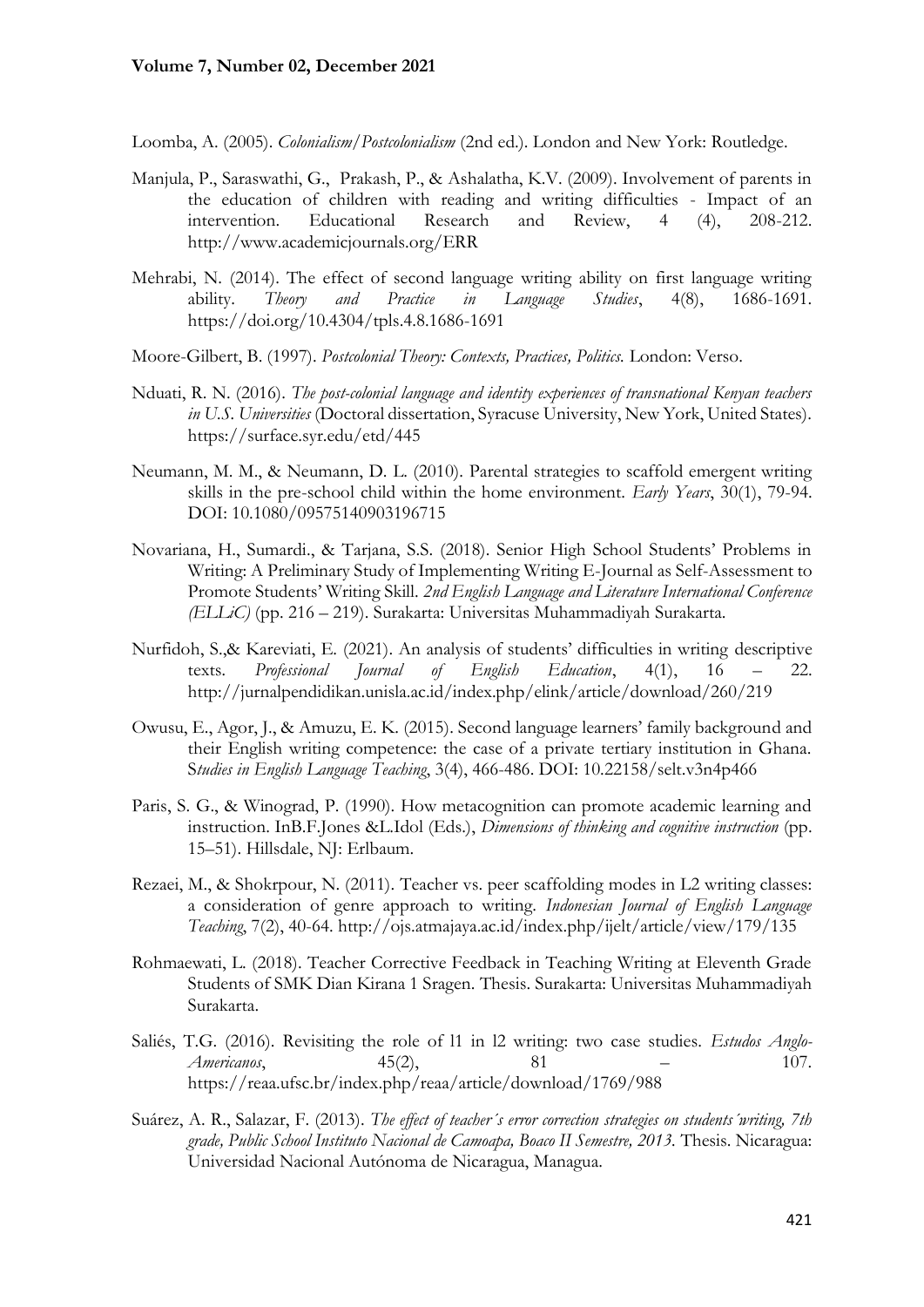Loomba, A. (2005). *Colonialism/Postcolonialism* (2nd ed.). London and New York: Routledge.

- Manjula, P., Saraswathi, G., Prakash, P., & Ashalatha, K.V. (2009). Involvement of parents in the education of children with reading and writing difficulties - Impact of an intervention. Educational Research and Review, 4 (4), 208-212. <http://www.academicjournals.org/ERR>
- Mehrabi, N. (2014). The effect of second language writing ability on first language writing ability. *Theory and Practice in Language Studies*, 4(8), 1686-1691. <https://doi.org/10.4304/tpls.4.8.1686-1691>
- Moore-Gilbert, B. (1997). *Postcolonial Theory: Contexts, Practices, Politics.* London: Verso.
- Nduati, R. N. (2016). *The post-colonial language and identity experiences of transnational Kenyan teachers in U.S. Universities* (Doctoral dissertation, Syracuse University, New York, United States). <https://surface.syr.edu/etd/445>
- Neumann, M. M., & Neumann, D. L. (2010). Parental strategies to scaffold emergent writing skills in the pre-school child within the home environment. *Early Years*, 30(1), 79-94. DOI: 10.1080/09575140903196715
- Novariana, H., Sumardi., & Tarjana, S.S. (2018). Senior High School Students' Problems in Writing: A Preliminary Study of Implementing Writing E-Journal as Self-Assessment to Promote Students' Writing Skill. *2nd English Language and Literature International Conference (ELLiC)* (pp. 216 – 219). Surakarta: Universitas Muhammadiyah Surakarta.
- Nurfidoh, S.,& Kareviati, E. (2021). An analysis of students' difficulties in writing descriptive texts*. Professional Journal of English Education*, 4(1), 16 – 22. <http://jurnalpendidikan.unisla.ac.id/index.php/elink/article/download/260/219>
- Owusu, E., Agor, J., & Amuzu, E. K. (2015). Second language learners' family background and their English writing competence: the case of a private tertiary institution in Ghana. S*tudies in English Language Teaching*, 3(4), 466-486. DOI: 10.22158/selt.v3n4p466
- Paris, S. G., & Winograd, P. (1990). How metacognition can promote academic learning and instruction. InB.F.Jones &L.Idol (Eds.), *Dimensions of thinking and cognitive instruction* (pp. 15–51). Hillsdale, NJ: Erlbaum.
- Rezaei, M., & Shokrpour, N. (2011). Teacher vs. peer scaffolding modes in L2 writing classes: a consideration of genre approach to writing. *Indonesian Journal of English Language Teaching*, 7(2), 40-64.<http://ojs.atmajaya.ac.id/index.php/ijelt/article/view/179/135>
- Rohmaewati, L. (2018). Teacher Corrective Feedback in Teaching Writing at Eleventh Grade Students of SMK Dian Kirana 1 Sragen. Thesis. Surakarta: Universitas Muhammadiyah Surakarta.
- Saliés, T.G. (2016). Revisiting the role of l1 in l2 writing: two case studies. *Estudos Anglo-Americanos*, 45(2), 81 – 107. <https://reaa.ufsc.br/index.php/reaa/article/download/1769/988>
- Suárez, A. R., Salazar, F. (2013). *The effect of teacher´s error correction strategies on students´writing, 7th grade, Public School Instituto Nacional de Camoapa, Boaco II Semestre, 2013.* Thesis. Nicaragua: Universidad Nacional Autónoma de Nicaragua, Managua.